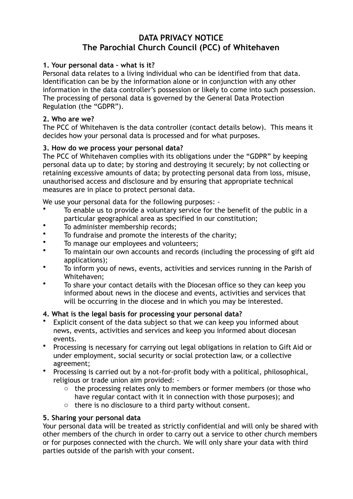# **DATA PRIVACY NOTICE The Parochial Church Council (PCC) of Whitehaven**

## **1. Your personal data – what is it?**

Personal data relates to a living individual who can be identified from that data. Identification can be by the information alone or in conjunction with any other information in the data controller's possession or likely to come into such possession. The processing of personal data is governed by the General Data Protection Regulation (the "GDPR").

#### **2. Who are we?**

The PCC of Whitehaven is the data controller (contact details below). This means it decides how your personal data is processed and for what purposes.

### **3. How do we process your personal data?**

The PCC of Whitehaven complies with its obligations under the "GDPR" by keeping personal data up to date; by storing and destroying it securely; by not collecting or retaining excessive amounts of data; by protecting personal data from loss, misuse, unauthorised access and disclosure and by ensuring that appropriate technical measures are in place to protect personal data.

We use your personal data for the following purposes: -

- To enable us to provide a voluntary service for the benefit of the public in a particular geographical area as specified in our constitution;
- To administer membership records;
- To fundraise and promote the interests of the charity;
- To manage our employees and volunteers;
- To maintain our own accounts and records (including the processing of gift aid applications);
- To inform you of news, events, activities and services running in the Parish of Whitehaven;
- To share your contact details with the Diocesan office so they can keep you informed about news in the diocese and events, activities and services that will be occurring in the diocese and in which you may be interested.

### **4. What is the legal basis for processing your personal data?**

- Explicit consent of the data subject so that we can keep you informed about news, events, activities and services and keep you informed about diocesan events.
- Processing is necessary for carrying out legal obligations in relation to Gift Aid or under employment, social security or social protection law, or a collective agreement;
- Processing is carried out by a not-for-profit body with a political, philosophical, religious or trade union aim provided:
	- o the processing relates only to members or former members (or those who have regular contact with it in connection with those purposes); and
	- o there is no disclosure to a third party without consent.

### **5. Sharing your personal data**

Your personal data will be treated as strictly confidential and will only be shared with other members of the church in order to carry out a service to other church members or for purposes connected with the church. We will only share your data with third parties outside of the parish with your consent.